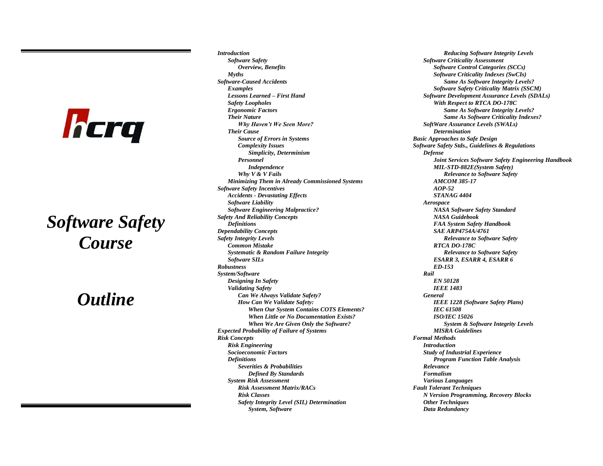## hcrq

## *Software Safety Course*

## *Outline*

*Introduction Software Safety Overview, Benefits Myths Software-Caused Accidents Examples Lessons Learned – First Hand Safety Loopholes Ergonomic Factors Their Nature Why Haven't We Seen More? Their Cause Source of Errors in Systems Complexity Issues Simplicity, Determinism Personnel Independence Why V & V Fails Minimizing Them in Already Commissioned Systems Software Safety Incentives Accidents - Devastating Effects Software Liability Software Engineering Malpractice? Safety And Reliability Concepts Definitions Dependability Concepts Safety Integrity Levels Common Mistake Systematic & Random Failure Integrity Software SILs Robustness System/Software Designing In Safety Validating Safety Can We Always Validate Safety? How Can We Validate Safety: When Our System Contains COTS Elements? When Little or No Documentation Exists? When We Are Given Only the Software? Expected Probability of Failure of Systems Risk Concepts Risk Engineering Socioeconomic Factors Definitions Severities & Probabilities Defined By Standards System Risk Assessment Risk Assessment Matrix/RACs Risk Classes Safety Integrity Level (SIL) Determination System, Software*

*Reducing Software Integrity Levels Software Criticality Assessment Software Control Categories (SCCs) Software Criticality Indexes (SwCIs) Same As Software Integrity Levels? Software Safety Criticality Matrix (SSCM) Software Development Assurance Levels (SDALs) With Respect to RTCA DO-178C Same As Software Integrity Levels? Same As Software Criticality Indexes? SoftWare Assurance Levels (SWALs) Determination Basic Approaches to Safe Design Software Safety Stds., Guidelines & Regulations Defense Joint Services Software Safety Engineering Handbook MIL-STD-882E(System Safety) Relevance to Software Safety AMCOM 385-17 AOP-52 STANAG 4404 Aerospace NASA Software Safety Standard NASA Guidebook FAA System Safety Handbook SAE ARP4754A/4761 Relevance to Software Safety RTCA DO-178C Relevance to Software Safety ESARR 3, ESARR 4, ESARR 6 ED-153 Rail EN 50128 IEEE 1483 General IEEE 1228 (Software Safety Plans) IEC 61508 ISO/IEC 15026 System & Software Integrity Levels MISRA Guidelines Formal Methods Introduction Study of Industrial Experience Program Function Table Analysis Relevance Formalism Various Languages Fault Tolerant Techniques N Version Programming, Recovery Blocks Other Techniques Data Redundancy*